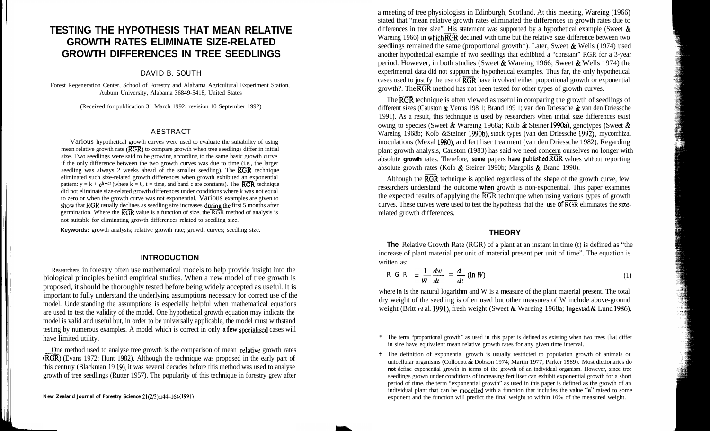# **TESTING THE HYPOTHESIS THAT MEAN RELATIVE GROWTH RATES ELIMINATE SIZE-RELATED GROWTH DIFFERENCES IN TREE SEEDLINGS**

#### DAVID B. SOUTH

Forest Regeneration Center, School of Forestry and Alabama Agricultural Experiment Station, Auburn University, Alabama 36849-5418, United States

(Received for publication 31 March 1992; revision 10 September 1992)

#### ABSTRACT

Various hypothetical growth curves were used to evaluate the suitability of using mean relative growth rate  $(\overline{KGR})$  to compare growth when tree seedlings differ in initial size. Two seedlings were said to be growing according to the same basic growth curve if the only difference between the two growth curves was due to time (i.e., the larger seedling was always 2 weeks ahead of the smaller seedling). The  $\overline{\text{RGR}}$  technique eliminated such size-related growth differences when growth exhibited an exponential pattern:  $y = k + e^{b + ct}$  (where  $k = 0$ ,  $t = time$ , and band c are constants). The **RGR** technique did not eliminate size-related growth differences under conditions where k was not equal to zero or when the growth curve was not exponential. Various examples are given to show that  $\overline{RGR}$  usually declines as seedling size increases during the first 5 months after germination. Where the  $\overline{RGR}$  value is a function of size, the  $\overline{RGR}$  method of analysis is not suitable for eliminating growth differences related to seedling size.

**Keywords:** growth analysis; relative growth rate; growth curves; seedling size.

#### **INTRODUCTION**

Researchers in forestry often use mathematical models to help provide insight into the biological principles behind empirical studies. When a new model of tree growth is proposed, it should be thoroughly tested before being widely accepted as useful. It is important to fully understand the underlying assumptions necessary for correct use of the model. Understanding the assumptions is especially helpful when mathematical equations are used to test the validity of the model. One hypothetical growth equation may indicate the model is valid and useful but, in order to be universally applicable, the model must withstand testing by numerous examples. A model which is correct in only **a few** specialised cases will have limited utility.

One method used to analyse tree growth is the comparison of mean relative growth rates  $(\overline{RGR})$  (Evans 1972; Hunt 1982). Although the technique was proposed in the early part of this century (Blackman 19 19), it was several decades before this method was used to analyse growth of tree seedlings (Rutter 1957). The popularity of this technique in forestry grew after

a meeting of tree physiologists in Edinburgh, Scotland. At this meeting, Wareing (1966) stated that "mean relative growth rates eliminated the differences in growth rates due to differences in tree size". His statement was supported by a hypothetical example (Sweet  $\&$ Wareing 1966) in which  $\overline{RGR}$  declined with time but the relative size difference between two seedlings remained the same (proportional growth\*). Later, Sweet  $\&$  Wells (1974) used another hypothetical example of two seedlings that exhibited a "constant" RGR for a 3-year period. However, in both studies (Sweet & Wareing 1966; Sweet & Wells 1974) the experimental data did not support the hypothetical examples. Thus far, the only hypothetical cases used to justify the use of  $\overline{RGR}$  have involved either proportional growth or exponential growth?. The  $\overline{RGR}$  method has not been tested for other types of growth curves.

The  $\overline{RGR}$  technique is often viewed as useful in comparing the growth of seedlings of different sizes (Causton & Venus 198 1; Brand 199 1; van den Driessche & van den Driessche 1991). As a result, this technique is used by researchers when initial size differences exist owing to species (Sweet & Wareing 1968a; Kolb & Steiner 199Oa), genotypes (Sweet & Wareing 1968b; Kolb &Steiner 1990b), stock types (van den Driessche 1992), mycorrhizal inoculations (Mexal 1980), and fertiliser treatment (van den Driessche 1982). Regarding plant growth analysis, Causton (1983) has said we need concern ourselves no longer with absolute growth rates. Therefore, **some** papers **have published RGR** values without reporting absolute growth rates (Kolb & Steiner 1990b; Margolis & Brand 1990).

Although the  $\overline{RGR}$  technique is applied regardless of the shape of the growth curve, few researchers understand the outcome when growth is non-exponential. This paper examines the expected results of applying the RGR technique when using various types of growth curves. These curves were used to test the hypothesis that the use of **RGR** eliminates the sizerelated growth differences.

#### **THEORY**

**The** Relative Growth Rate (RGR) of a plant at an instant in time (t) is defined as "the increase of plant material per unit of material present per unit of time". The equation is written as:

$$
R G R = \frac{1}{W} \frac{dw}{dt} = \frac{d}{dt} (\ln W) \tag{1}
$$

where  $\ln$  is the natural logarithm and W is a measure of the plant material present. The total dry weight of the seedling is often used but other measures of W include above-ground weight (Britt et al. 1991), fresh weight (Sweet & Wareing 1968a; Ingestad & Lund 1986),

<sup>\*</sup> The term "proportional growth" as used in this paper is defined as existing when two trees that differ in size have equivalent mean relative growth rates for any given time interval.

t The definition of exponential growth is usually restricted to population growth of animals or unicellular organisms (Collocott & Dobson 1974; Martin 1977; Parker 1989). Most dictionaries do **not** define exponential growth in terms of the growth of an individual organism. However, since tree seedlings grown under conditions of increasing fertiliser can exhibit exponential growth for a short period of time, the term "exponential growth" as used in this paper is defined as the growth of an individual plant that can be modelled with a function that includes the value "e" raised to some exponent and the function will predict the final weight to within 10% of the measured weight.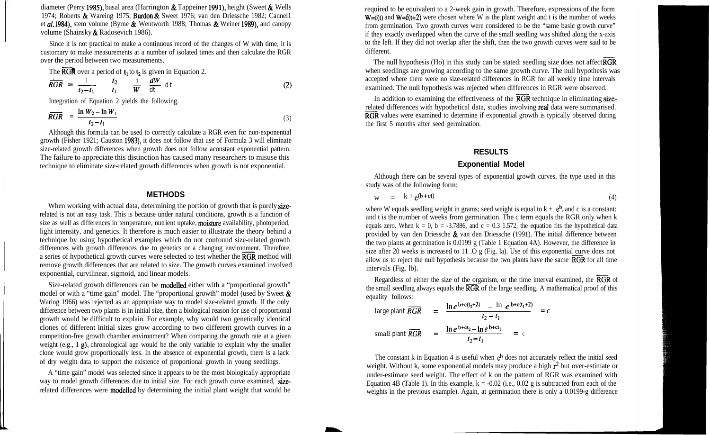diameter (Perry 1985), basal area (Harrington  $\&$  Tappeiner 1991), height (Sweet  $\&$  Wells 1974; Roberts & Wareing 1975; Burdon & Sweet 1976; van den Driessche 1982; Cannel1 et aI. 1984), stem volume (Byrne & Wentworth 1988; Thomas & Weiner 1989), and canopy volume (Shainsky & Radosevich 1986).

Since it is not practical to make a continuous record of the changes of W with time, it is customary to make measurements at a number of isolated times and then calculate the RGR<br>over the period between two measurements.<br>The RGR over a period of  $t_1$  to  $t_2$  is given in Equation 2.<br> $\frac{1}{RGR} = \frac{1}{t_2 - t_1}$   $\$ over the period between two measurements.

The 
$$
\overline{RGR}
$$
 over a period of  $t_1$  to  $t_2$  is given in Equation 2.

$$
\overline{RGR} = \frac{1}{t_2 - t_1} \qquad \frac{t_2}{t_1} \qquad \frac{1}{W} \qquad \frac{dW}{dt} dt \qquad (2)
$$

Integration of Equation 2 yields the following.

$$
\overline{RGR} = \frac{\ln W_2 - \ln W_1}{t_2 - t_1} \tag{3}
$$

Although this formula can be used to correctly calculate a RGR even for non-exponential growth (Fisher 1921; Causton 1983), it does not follow that use of Formula 3 will eliminate size-related growth differences when growth does not follow aconstant exponential pattern. The failure to appreciate this distinction has caused many researchers to misuse this technique to eliminate size-related growth differences when growth is not exponential.

### **METHODS**

When working with actual data, determining the portion of growth that is purely sizerelated is not an easy task. This is because under natural conditions, growth is a function of size as well as differences in temperature, nutrient uptake, moisture availability, photoperiod, light intensity, and genetics. It therefore is much easier to illustrate the theory behind a technique by using hypothetical examples which do not confound size-related growth differences with growth differences due to genetics or a changing environment. Therefore, a series of hypothetical growth curves were selected to test whether the  $\overline{RGR}$  method will remove growth differences that are related to size. The growth curves examined involved exponential, curvilinear, sigmoid, and linear models.

Size-related growth differences can be modelled either with a "proportional growth" model or with a "time gain" model. The "proportional growth" model (used by Sweet  $\&$ Waring 1966) was rejected as an appropriate way to model size-related growth. If the only difference between two plants is in initial size, then a biological reason for use of proportional growth would be difficult to explain. For example, why would two genetically identical clones of different initial sizes grow according to two different growth curves in a competition-free growth chamber environment? When comparing the growth rate at a given weight (e.g., 1 g), chronological age would be the only variable to explain why the smaller clone would grow proportionally less. In the absence of exponential growth, there is a lack of dry weight data to support the existence of proportional growth in young seedlings.

A "time gain" model was selected since it appears to be the most biologically appropriate way to model growth differences due to initial size. For each growth curve examined, sizerelated differences were modelled by determining the initial plant weight that would be required to be equivalent to a 2-week gain in growth. Therefore, expressions of the form  $W=f(t)$  and  $W=f(t+2)$  were chosen where W is the plant weight and t is the number of weeks from germination. Two growth curves were considered to be the "same basic growth curve" if they exactly overlapped when the curve of the small seedling was shifted along the x-axis to the left. If they did not overlap after the shift, then the two growth curves were said to be different.

The null hypothesis (Ho) in this study can be stated: seedling size does not affect  $RGR$ when seedlings are growing according to the same growth curve. The null hypothesis was accepted where there were no size-related differences in RGR for all weekly time intervals examined. The null hypothesis was rejected when differences in RGR were observed.

In addition to examining the effectiveness of the  $\overline{RGR}$  technique in eliminating sizerelated differences with hypothetical data, studies involving real data were summarised.  $\overline{RGR}$  values were examined to determine if exponential growth is typically observed during the first 5 months after seed germination.

### **RESULTS**

### **Exponential Model**

Although there can be several types of exponential growth curves, the type used in this study was of the following form:

$$
w = k + e^{(b + ct)}
$$
 (4)

where W equals seedling weight in grams; seed weight is equal to  $k + e^{b}$ , and c is a constant: and t is the number of weeks from germination. The c term equals the RGR only when k equals zero. When  $k = 0$ ,  $b = -3.7886$ , and  $c = 0.3$  1.572, the equation fits the hypothetical data provided by van den Driessche  $\&$  van den Driessche (1991). The initial difference between the two plants at germination is 0.0199 g (Table 1 Equation 4A). However, the difference in size after 20 weeks is increased to 11 .O g (Fig. la). Use of this exponential curve does not allow us to reject the null hypothesis because the two plants have the same  $\overline{RGR}$  for all time intervals (Fig. lb).

Regardless of either the size of the organism, or the time interval examined, the RGR of the small seedling always equals the  $\overline{RGR}$  of the large seedling. A mathematical proof of this equality follows:  $\ell$  e  $\alpha$  and  $\ell$  e b+c(tl+2)  $\alpha$ 

$$
\text{large plant } \overrightarrow{RGR} = \frac{\ln e^{b + c(t_2 + 2)} - \ln e^{b + c(t_1 + 2)}}{t_2 - t_1} = c
$$
\n
$$
\text{small plant } \overrightarrow{RGR} = \frac{\ln e^{b + c(t_2 - 1)} - \ln e^{b + c(t_1 - 2)}}{t_2 - t_1} = c
$$

The constant k in Equation 4 is useful when  $e^b$  does not accurately reflect the initial seed weight. Without k, some exponential models may produce a high  $\mathbf{r}^2$  but over-estimate or under-estimate seed weight. The effect of k on the pattern of RGR was examined with Equation 4B (Table 1). In this example,  $k = -0.02$  (i.e., 0.02 g is subtracted from each of the weights in the previous example). Again, at germination there is only a 0.0199-g difference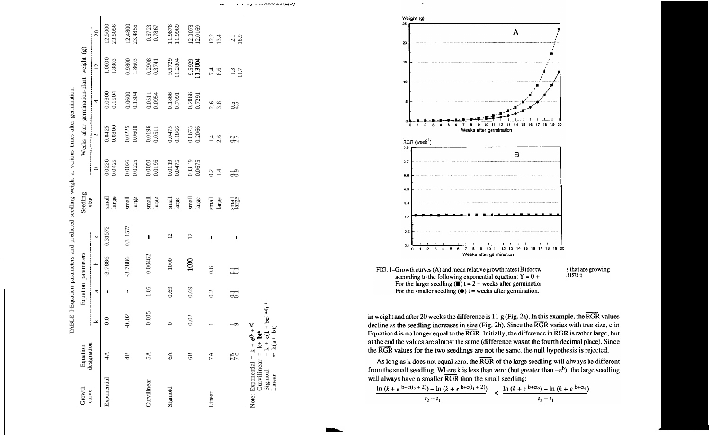|                 |                                                                                           |                                                     |      |                     |                 | TABLE I-Equation parameters and predicted seedling weight at various times after germination. |                        |                        |                                          |                   |                    |
|-----------------|-------------------------------------------------------------------------------------------|-----------------------------------------------------|------|---------------------|-----------------|-----------------------------------------------------------------------------------------------|------------------------|------------------------|------------------------------------------|-------------------|--------------------|
| Growth<br>curve | designation<br>Equation                                                                   |                                                     |      | Equation parameters |                 | Seedling                                                                                      |                        |                        | Weeks after germination-plant weight (g) |                   |                    |
|                 |                                                                                           | ≚                                                   | a    | م                   | $\cup$          | size                                                                                          | $\circ$                | $\mathbf{\Omega}$      | $\overline{4}$                           | $\overline{c}$    | 20                 |
| Exponential     | $\mathcal{A}$                                                                             | 0.0                                                 | ١    | $-3.7886$           | 0.31572         | large<br>small                                                                                | 0.0226<br>0.0425       | 0.0800<br>0.0425       | 0.1504<br>0.0800                         | 1.0000<br>1.8803  | 23.5056<br>12.5000 |
|                 | 4B                                                                                        | $-0.02$                                             | ١    | $-3.7886$           | 0.3 1572        | small<br>large                                                                                | 0.0026<br>0.0225       | 0.0600<br>0.0225       | $0.0600$<br>$0.1304$                     | 0.9800<br>1.8603  | 12.4800<br>23.4856 |
| Curvilinear     | 5A                                                                                        | 0.005                                               | 1.66 | 0.00462             | ł               | small<br>large                                                                                | 0.0196<br>0.0050       | 0.0196<br>0.0511       | 0.0954<br>0.0511                         | 0.2908<br>0.3741  | 0.6723<br>0.7867   |
| Sigmoid         | $6\AA$                                                                                    | $\circ$                                             | 0.69 | 1000                | $\overline{c}$  | large<br>small                                                                                | 0.0119<br>0.0475       | 0.1866<br>0.0475       | 0.1866<br>0.7091                         | 9.5729<br>11.2804 | 11.9878<br>11.9969 |
|                 | 6B                                                                                        | 0.02                                                | 0.69 | 1000                | $\overline{12}$ | small<br>large                                                                                | 0.03 19<br>0.0675      | 0.2066<br>0.0675       | 0.2066<br>0.7291                         | 9.5929<br>11.3004 | 12.0078<br>12.0169 |
| Linear          | 7A                                                                                        |                                                     | 0.2  | 0.6                 | J               | small<br>large                                                                                | 0.2<br>$\overline{14}$ | 2.6<br>$\overline{14}$ | 2.6<br>3.8                               | 8.6<br>7.4        | 12.2<br>13.4       |
|                 | 7c                                                                                        | ◦                                                   | 53   | 53                  | ı               | Inail                                                                                         | $rac{3}{2}$            | $2\overline{3}$        | 2.5                                      | $\frac{13}{117}$  | $\frac{2.1}{18.9}$ |
| Linear          | Note: Exponential = $k + e^{b} +$<br>Curvilinear = $k + br^2$<br>Sigmoid = $k + c(1 - c)$ | = $k + c(1 + be^{(-a t)})^{-1}$<br>= $k(a+bt)$<br>T |      |                     |                 |                                                                                               |                        |                        |                                          |                   |                    |



according to the following exponential equation:  $\mathbf{Y} = 0 + \epsilon$ For the larger seedling  $(\blacksquare)$  t = 2 + weeks after germination For the smaller seedling  $(\bullet)$  t = weeks after germination.

s that are growing  $.31572t)$ 

in weight and after 20 weeks the difference is 11 g (Fig. 2a). In this example, the  $\overline{RGR}$  values decline as the seedling increases in size (Fig. 2b). Since the  $\overline{RGR}$  varies with tree size, c in Equation 4 is no longer equal to the RGR. Initially, the difference in RGR is rather large, but at the end the values are almost the same (difference was at the fourth decimal place). Since the RGR values for the two seedlings are not the same, the null hypothesis is rejected.

As long as k does not equal zero, the RGR of the large seedling will always be different from the small seedling. Where k is less than zero (but greater than  $-e<sup>b</sup>$ ), the large seedling will always have a smaller RGR than the small seedling:

$$
\frac{\ln (k+e^{b+c(t_2+2)}) - \ln (k+e^{b+c(t_1+2)})}{t_2-t_1} < \frac{\ln (k+e^{b+c(t_2)}) - \ln (k+e^{b+c(t_1)})}{t_2-t_1}
$$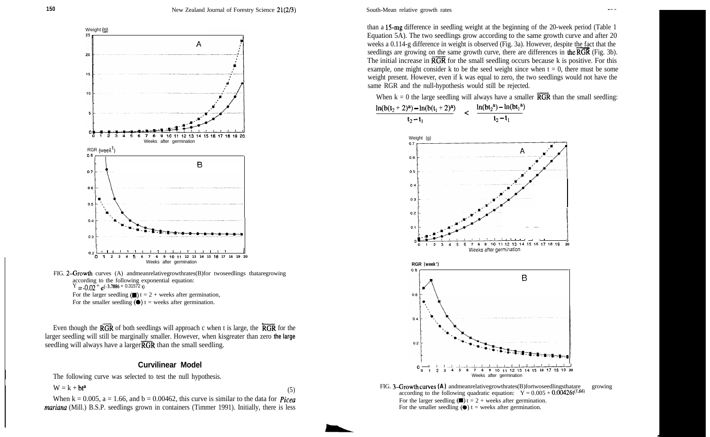

FIG. 2-Growth curves (A) andmeanrelativegrowthrates(B)for twoseedlings thataregrowing according to the following exponential equation:  $Y = -0.02 + e^{(-3.7886 + 0.31572 t)}$ 

For the larger seedling  $(\blacksquare)$  t = 2 + weeks after germination,

For the smaller seedling  $(\bullet)$  t = weeks after germination.

Even though the  $\overline{RGR}$  of both seedlings will approach c when t is large, the  $\overline{RGR}$  for the larger seedling will still be marginally smaller. However, when kisgreater than zero **the large** seedling will always have a larger  $\overline{RGR}$  than the small seedling.

#### **Curvilinear Model**

The following curve was selected to test the null hypothesis.

$$
W = k + bt^a \tag{5}
$$

When  $k = 0.005$ ,  $a = 1.66$ , and  $b = 0.00462$ , this curve is similar to the data for *Picea mariana* (Mill.) B.S.P. seedlings grown in containers (Timmer 1991). Initially, there is less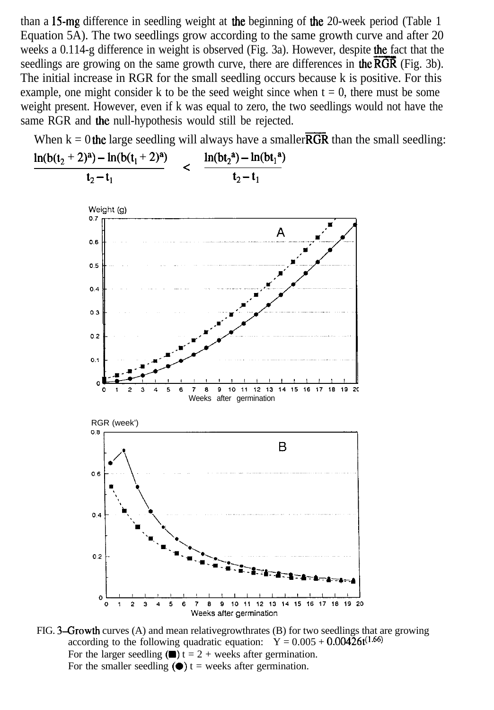than a 15mg difference in seedling weight at the beginning of the 20-week period (Table 1 Equation 5A). The two seedlings grow according to the same growth curve and after 20 weeks a 0.114-g difference in weight is observed (Fig. 3a). However, despite the fact that the seedlings are growing on the same growth curve, there are differences in the  $\overline{RGR}$  (Fig. 3b). The initial increase in RGR for the small seedling occurs because k is positive. For this example, one might consider k to be the seed weight since when  $t = 0$ , there must be some weight present. However, even if k was equal to zero, the two seedlings would not have the same RGR and the null-hypothesis would still be rejected.

When  $k = 0$  the large seedling will always have a smaller  $\overline{RGR}$  than the small seedling:



FIG. 3-Growth curves (A) and mean relativegrowthrates (B) for two seedlings that are growing according to the following quadratic equation:  $Y = 0.005 + 0.00426t^{(1.66)}$ For the larger seedling  $(\blacksquare)$  t = 2 + weeks after germination. For the smaller seedling  $(\bullet)$  t = weeks after germination.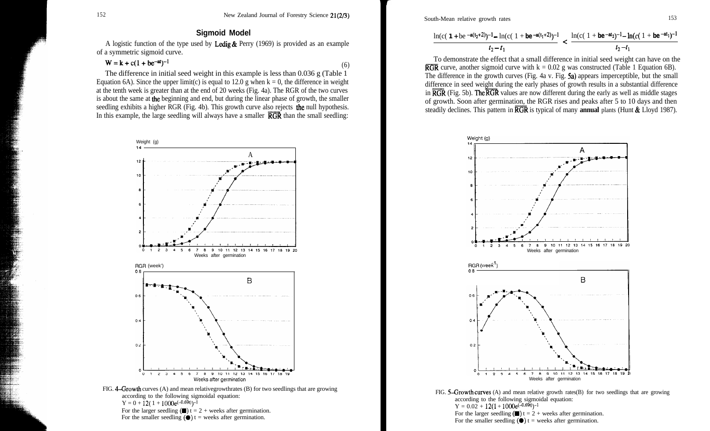### **Sigmoid Model**

A logistic function of the type used by Ledig  $\&$  Perry (1969) is provided as an example of a symmetric sigmoid curve.

### $W = k + c(1 + be^{-at})^{-1}$  (6)

The difference in initial seed weight in this example is less than 0.036 g (Table 1 Equation 6A). Since the upper limit(c) is equal to 12.0 g when  $k = 0$ , the difference in weight at the tenth week is greater than at the end of 20 weeks (Fig. 4a). The RGR of the two curves is about the same at the beginning and end, but during the linear phase of growth, the smaller seedling exhibits a higher RGR (Fig. 4b). This growth curve also rejects the null hypothesis. In this example, the large seedling will always have a smaller  $\overline{RGR}$  than the small seedling:



South-Mean relative growth rates 153

$$
\frac{\ln(c(1+be^{-a(t_2+2)})^{-1}-\ln(c(1+be^{-a(t_1+2)})^{-1}}{t_2-t_1} < \frac{\ln(c(1+be^{-a t_2})^{-1}-\ln(c(1+be^{-a t_1})^{-1})}{t_2-t_1}
$$

To demonstrate the effect that a small difference in initial seed weight can have on the **RGR** curve, another sigmoid curve with  $k = 0.02$  g was constructed (Table 1 Equation 6B). The difference in the growth curves (Fig. 4a v. Fig. 5a) appears imperceptible, but the small difference in seed weight during the early phases of growth results in a substantial difference in  $\overline{RGR}$  (Fig. 5b). The  $\overline{\text{RGR}}$  values are now different during the early as well as middle stages of growth. Soon after germination, the RGR rises and peaks after 5 to 10 days and then steadily declines. This pattern in RGR is typical of many **annual** plants (Hunt & Lloyd 1987).



according to the following sigmoidal equation:  $Y = 0.02 + 12(1 + 1000e^{(-0.69t)})^{-1}$ For the larger seedling  $(\blacksquare)$  t = 2 + weeks after germination. For the smaller seedling  $(\bullet)$  t = weeks after germination.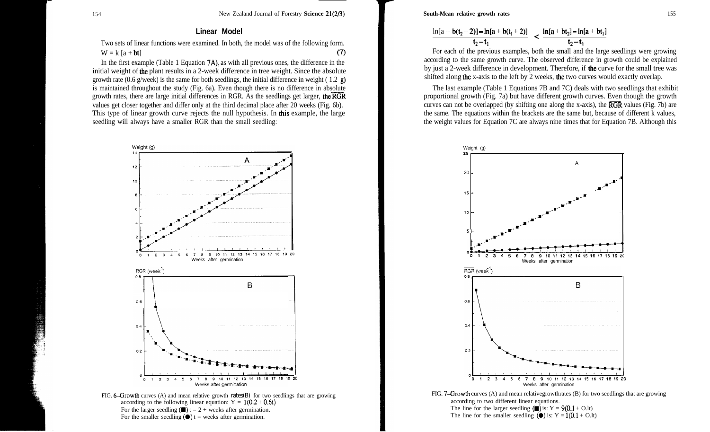### **Linear Model**

Two sets of linear functions were examined. In both, the model was of the following form.  $W = k [a + bt]$  (7)

In the first example (Table 1 Equation 7A), as with all previous ones, the difference in the initial weight of the plant results in a 2-week difference in tree weight. Since the absolute growth rate (0.6 g/week) is the same for both seedlings, the initial difference in weight (1.2  $\mathbf{g}$ ) is maintained throughout the study (Fig. 6a). Even though there is no difference in absolute growth rates, there are large initial differences in RGR. As the seedlings get larger, the  $\overline{RGR}$ values get closer together and differ only at the third decimal place after 20 weeks (Fig. 6b). This type of linear growth curve rejects the null hypothesis. In this example, the large seedling will always have a smaller RGR than the small seedling:



**South-Mean relative growth rates** 155

$$
\frac{\ln[a + b(t_2+2)] - \ln[a + b(t_1+2)]}{t_2 - t_1} < \frac{\ln[a + bt_2] - \ln[a + bt_1]}{t_2 - t_1}
$$

For each of the previous examples, both the small and the large seedlings were growing according to the same growth curve. The observed difference in growth could be explained by just a 2-week difference in development. Therefore, if the curve for the small tree was shifted along the x-axis to the left by 2 weeks, the two curves would exactly overlap.

The last example (Table 1 Equations 7B and 7C) deals with two seedlings that exhibit proportional growth (Fig. 7a) but have different growth curves. Even though the growth curves can not be overlapped (by shifting one along the x-axis), the  $\overline{RGR}$  values (Fig. 7b) are the same. The equations within the brackets are the same but, because of different k values, the weight values for Equation 7C are always nine times that for Equation 7B. Although this

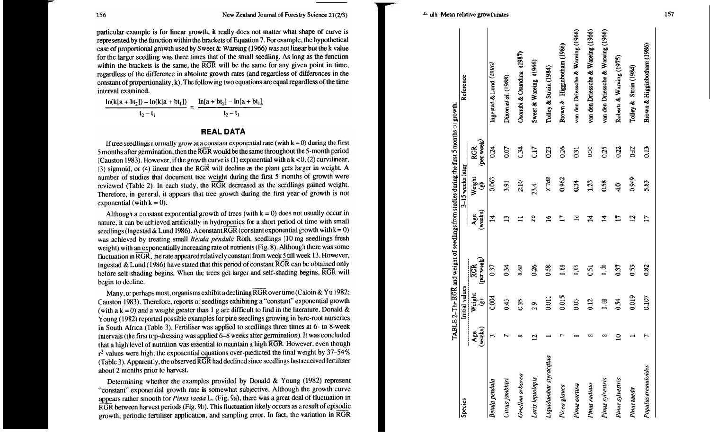particular example is for linear growth, it really does not matter what shape of curve is represented by the function within the brackets of Equation 7. For example, the hypothetical case of proportional growth used by Sweet & Wareing (1966) was not linear but the k value for the larger seedling was three times that of the small seedling. As long as the function within the brackets is the same, the RGR will be the same for any given point in time, regardless of the difference in absolute growth rates (and regardless of differences in the constant of proportionality, k). The following two equations are equal regardless of the time interval examined.

$$
\frac{\ln(k[a+bt_2]) - \ln(k[a+bt_1])}{t_2 - t_1} = \frac{\ln[a+bt_2] - \ln[a+bt_1]}{t_2 - t_1}
$$

#### **REAL DATA**

If tree seedlings normally grow at a constant exponential rate (with  $k = 0$ ) during the first 5 months after germination, then the RGR would be the same throughout the 5-month period (Causton 1983). However, if the growth curve is (1) exponential with  $ak < 0$ , (2) curvilinear,  $(3)$  sigmoid, or  $(4)$  linear then the RGR will decline as the plant gets larger in weight. A number of studies that document tree weight during the first 5 months of growth were reviewed (Table 2). In each study, the RGR decreased as the seedlings gained weight. Therefore, in general, it appears that tree growth during the first year of growth is not exponential (with  $k = 0$ ).

Although a constant exponential growth of trees (with  $k = 0$ ) does not usually occur in nature, it can be achieved artificially in hydroponics for a short period of time with small seedlings (Ingestad & Lund 1986). A constant  $\overline{RGR}$  (constant exponential growth with  $k = 0$ ) was achieved by treating small Betula pendula Roth. seedlings (10 mg seedlings fresh weight) with an exponentially increasing rate of nutrients (Fig. 8). Although there was some fluctuation in RGR, the rate appeared relatively constant from week 5 till week 13. However, Ingestad & Lund (1986) have stated that this period of constant  $\overline{RGR}$  can be obtained only before self-shading begins. When the trees get larger and self-shading begins, RGR will begin to decline.

Many, or perhaps most, organisms exhibit a declining RGR over time (Caloin & Yu 1982; Causton 1983). Therefore, reports of seedlings exhibiting a "constant" exponential growth (with a  $k = 0$ ) and a weight greater than 1 g are difficult to find in the literature. Donald & Young (1982) reported possible examples for pine seedlings growing in bare-root nurseries in South Africa (Table 3). Fertiliser was applied to seedlings three times at 6- to 8-week intervals (the first top-dressing was applied 6-8 weeks after germination). It was concluded that a high level of nutrition was essential to maintain a high RGR. However, even though  $r^2$  values were high, the exponential equations over-predicted the final weight by 37–54% (Table 3). Apparently, the observed RGR had declined since seedlings last received fertiliser about 2 months prior to harvest.

Determining whether the examples provided by Donald & Young  $(1982)$  represent "constant" exponential growth rate is somewhat subjective. Although the growth curve appears rather smooth for Pinus taeda L. (Fig. 9a), there was a great deal of fluctuation in RGR between harvest periods (Fig. 9b). This fluctuation likely occurs as a result of episodic growth, periodic fertiliser application, and sampling error. In fact, the variation in RGR

| Species                 |                                 | Initial values         |                          |                          | 3-15 weeks later       |                          | Reference                          |
|-------------------------|---------------------------------|------------------------|--------------------------|--------------------------|------------------------|--------------------------|------------------------------------|
|                         | (weeks)<br>$\frac{1}{2}$<br>Age | Weight<br>$\mathbf{e}$ | (per week)<br><b>ISS</b> | (weks)<br>Age            | Weight<br>$\mathbf{e}$ | (per week)<br><b>RGR</b> |                                    |
| Betula pendula          | $\mathbf{\tilde{5}}$            | 0.004                  | 0.37                     | $\overline{z}$           | 0.063                  | 0.24                     | Ingestad & Lund $(1986)$           |
| Citrus jambhiri         |                                 | 6.43                   | 0.34                     | $\mathbf{r}$             | 3.91                   | 0.07                     | Dixon et al. (1988)                |
| Gmelina arborea         | ∞                               | 0.35                   | 0.68                     |                          | 2.10                   | 0.34                     | Osonubi & Osundina (1987)          |
| Larix leptolepis        | $\overline{2}$                  | 2.9                    | 0.26                     | $\overline{2}0$          | 23.4                   | 0.17                     | Sweet & Wareing (1966)             |
| Liquidambar styraciflua |                                 | 0.011                  | 0.58                     | $\mathbf{5}$             | 8PL.X                  | 0.23                     | Tolley & Strain (1984)             |
| Picea glauca            |                                 | 0.015                  | 0.69                     | $\overline{\phantom{0}}$ | 0.962                  | 0.26                     | Brown & Higginbotham (1986)        |
| Pinus cortina           | $\infty$                        | 0.03                   | 0,0s                     | Гd                       | 0.34                   | 0.31                     | van den Driessche & Wareing (1966) |
| Pinus radiata           | $\infty$                        | 0.12                   | 0.51                     | $\vec{z}$                | 1.23                   | oco                      | van den Driessche & Wareing (1966) |
| Pinus sylvestris        | $\infty$                        | 0.08                   | 0.50                     | Ξ                        | 0.58                   | 0.25                     | van den Driessche & Wareing (1966) |
| Pinus sylvestris        | $\supseteq$                     | 0.54                   | 0.37                     | $\overline{1}$           | $\overline{4.0}$       | 0.22                     | Roberts & Wareing (1975)           |
| Pinus taeda             |                                 | 0.019                  | 0.53                     | $\overline{2}$           | 0.949                  | <b>DHO</b>               | Tolley & Strain (1984)             |
| Populus tremuloides     | 7                               | 0.107                  | 0.82                     | 17                       | 5.83                   | 0.13                     | Brown & Higginbotham (1986)        |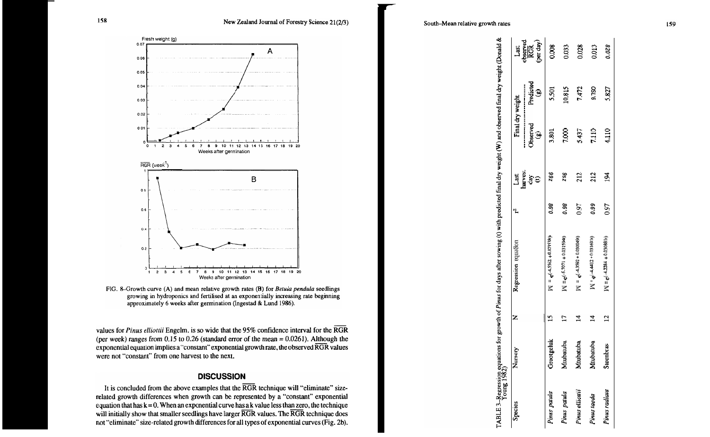

FIG. 8-Growth curve (A) and mean relative growth rates (B) for Betula pendula seedlings growing in hydroponics and fertilised at an exponentially increasing rate beginning approximately 6 weeks after germination (Ingestad & Lund 1986).

values for Pinus elliottii Engelm. is so wide that the 95% confidence interval for the RGR (per week) ranges from  $0.15$  to  $0.26$  (standard error of the mean =  $0.0261$ ). Although the exponential equation implies a "constant" exponential growth rate, the observed RGR values were not "constant" from one harvest to the next.

### **DISCUSSION**

It is concluded from the above examples that the RGR technique will "eliminate" sizerelated growth differences when growth can be represented by a "constant" exponential equation that has  $k = 0$ . When an exponential curve has a k value less than zero, the technique will initially show that smaller seedlings have larger RGR values. The RGR technique does not "eliminate" size-related growth differences for all types of exponential curves (Fig. 2b). weight (Donald &

weight (W) and observed final dry

TABLE 3-Regression equations for growth of Pinus for days after sowing (t) with predicted final dry Young 1982)

| Species         | Nursery    | Z                       | Regression vquason              | $\mathfrak{r}$ | Last                | Final dry weight                |                       | Last                         |
|-----------------|------------|-------------------------|---------------------------------|----------------|---------------------|---------------------------------|-----------------------|------------------------------|
|                 |            |                         |                                 |                | harvest<br>ਰੈਂ<br>ਹ | <b>Jbserved</b><br>$\mathbf{e}$ | Predicted<br>$\Theta$ | observed<br>RGR<br>(per day) |
| Pinus patula    | Grootgeluk |                         | $W = e^{(-4.5562 + 0.023538t)}$ | 0.98           | 266                 | 3.801                           | 5.501                 | 0.008                        |
| Pinus patula    | Mtubatuba  | IJ                      | $M = e^{(-5.7071 + 0.031594t)}$ | 0.98           | ZS6                 | 7.000                           | 10.815                | 0.033                        |
| Pinus elliottii | Mtubatuba  | 4                       | $W = e^{(-4.3592 + 0.030049t)}$ | 0.97           | 212                 | 5.437                           | 7.472                 | 0.028                        |
| Pinus taeda     | Mtubatuba  | 4                       | $M = e^{(-4.4412 + 0.031691t)}$ | 0.99           | 212                 | 7.110                           | <b>0SL6</b>           | 0.013                        |
| Pinus radiata   | Steenbras  | $\overline{\mathbf{C}}$ | $W = e^{(-4.2284 + 0.030881t)}$ | 0.97           | $\overline{5}$      | 4.110                           | 5.827                 | 0.028                        |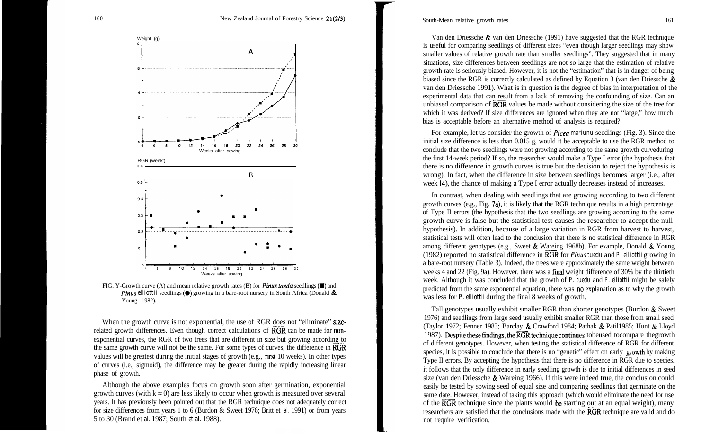

FIG. Y-Growth curve (A) and mean relative growth rates (B) for *Pinus taeda* seedlings ( $\blacksquare$ ) and *Pinus elliottii seedlings* ( $\bullet$ ) growing in a bare-root nursery in South Africa (Donald  $\&$ Young 1982).

When the growth curve is not exponential, the use of RGR does not "eliminate" sizerelated growth differences. Even though correct calculations of **RGR** can be made for **non**exponential curves, the RGR of two trees that are different in size but growing according to the same growth curve will not be the same. For some types of curves, the difference in **RGR** values will be greatest during the initial stages of growth (e.g., first 10 weeks). In other types of curves (i.e., sigmoid), the difference may be greater during the rapidly increasing linear phase of growth.

Although the above examples focus on growth soon after germination, exponential growth curves (with  $k = 0$ ) are less likely to occur when growth is measured over several years. It has previously been pointed out that the RGR technique does not adequately correct for size differences from years 1 to 6 (Burdon & Sweet 1976; Britt et *al.* 1991) or from years 5 to 30 (Brand et *al.* 1987; South *et al.* 1988).

South-Mean relative growth rates 161

Van den Driessche & van den Driessche (1991) have suggested that the RGR technique is useful for comparing seedlings of different sizes "even though larger seedlings may show smaller values of relative growth rate than smaller seedlings". They suggested that in many situations, size differences between seedlings are not so large that the estimation of relative growth rate is seriously biased. However, it is not the "estimation" that is in danger of being biased since the RGR is correctly calculated as defined by Equation 3 (van den Driessche & van den Driessche 1991). What is in question is the degree of bias in interpretation of the experimental data that can result from a lack of removing the confounding of size. Can an unbiased comparison of  $\overline{RGR}$  values be made without considering the size of the tree for which it was derived? If size differences are ignored when they are not "large," how much bias is acceptable before an alternative method of analysis is required?

For example, let us consider the growth of Picea *mariunu* seedlings (Fig. 3). Since the initial size difference is less than 0.015 g, would it be acceptable to use the RGR method to conclude that the two seedlings were not growing according to the same growth curveduring the first 14-week period? If so, the researcher would make a Type I error (the hypothesis that there is no difference in growth curves is true but the decision to reject the hypothesis is wrong). In fact, when the difference in size between seedlings becomes larger (i.e., after week 14), the chance of making a Type I error actually decreases instead of increases.

In contrast, when dealing with seedlings that are growing according to two different growth curves (e.g., Fig. 7a), it is likely that the RGR technique results in a high percentage of Type II errors (the hypothesis that the two seedlings are growing according to the same growth curve is false but the statistical test causes the researcher to accept the null hypothesis). In addition, because of a large variation in RGR from harvest to harvest, statistical tests will often lead to the conclusion that there is no statistical difference in RGR among different genotypes (e.g., Sweet  $\&$  Wareing 1968b). For example, Donald  $\&$  Young (1982) reported no statistical difference in **RGR** for *Pinus tuedu* and *P. elliottii* growing in a bare-root nursery (Table 3). Indeed, the trees were approximately the same weight between weeks 4 and 22 (Fig. 9a). However, there was a final weight difference of 30% by the thirtieth week. Although it was concluded that the growth of *P. tuedu* and *P. elliottii* might be safely predicted from the same exponential equation, there was no explanation as to why the growth was less for *P. elliottii* during the final 8 weeks of growth.

Tall genotypes usually exhibit smaller RGR than shorter genotypes (Burdon  $\&$  Sweet 1976) and seedlings from large seed usually exhibit smaller RGR than those from small seed (Taylor 1972; Fenner 1983; Barclay & Crawford 1984; Pathak & Patil1985; Hunt & Lloyd 1987). Despite these findings, the  $\overline{\text{RGR}}$  technique continues tobeused tocompare the growth of different genotypes. However, when testing the statistical difference of RGR for different species, it is possible to conclude that there is no "genetic" effect on early  $\epsilon_{\mu}$  owth by making Type II errors. By accepting the hypothesis that there is no difference in RGR due to species. it follows that the only difference in early seedling growth is due to initial differences in seed size (van den Driessche & Wareing 1966). If this were indeed true, the conclusion could easily be tested by sowing seed of equal size and comparing seedlings that germinate on the same date. However, instead of taking this approach (which would eliminate the need for use of the  $\overline{RGR}$  technique since the plants would be starting out at an equal weight), many researchers are satisfied that the conclusions made with the RGR technique are valid and do not require verification.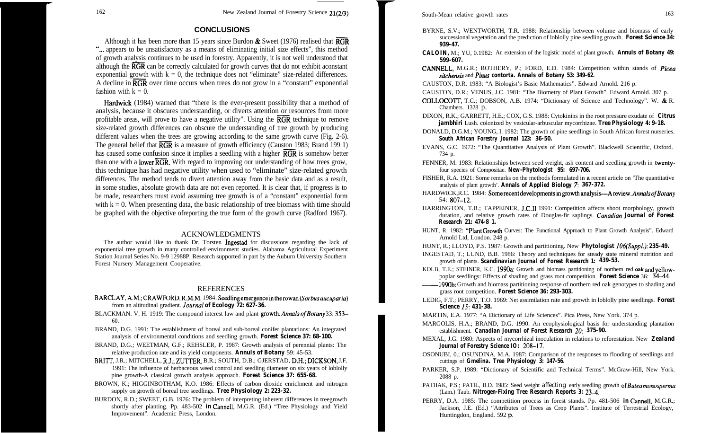## **CONCLUSIONS**

Although it has been more than 15 years since Burdon  $\&$  Sweet (1976) realised that  $\overline{RGR}$ "... appears to be unsatisfactory as a means of eliminating initial size effects", this method of growth analysis continues to be used in forestry. Apparently, it is not well understood that although the  $\overline{RGR}$  can be correctly calculated for growth curves that do not exhibit aconstant exponential growth with  $k = 0$ , the technique does not "eliminate" size-related differences. A decline in RGR over time occurs when trees do not grow in a "constant" exponential fashion with  $k = 0$ .

Hardwick (1984) warned that "there is the ever-present possibility that a method of analysis, because it obscures understanding, or diverts attention or resources from more profitable areas, will prove to have a negative utility". Using the  $\overline{RGR}$  technique to remove size-related growth differences can obscure the understanding of tree growth by producing different values when the trees are growing according to the same growth curve (Fig. 2-6). The general belief that  $\overline{RGR}$  is a measure of growth efficiency (Causton 1983; Brand 199 1) has caused some confusion since it implies a seedling with a higher  $\overline{RGR}$  is somehow better than one with a **lower**  $\overline{RGR}$ . With regard to improving our understanding of how trees grow, this technique has had negative utility when used to "eliminate" size-related growth differences. The method tends to divert attention away from the basic data and as a result, in some studies, absolute growth data are not even reported. It is clear that, if progress is to be made, researchers must avoid assuming tree growth is of a "constant" exponential form with  $k = 0$ . When presenting data, the basic relationship of tree biomass with time should be graphed with the objective ofreporting the true form of the growth curve (Radford 1967).

### ACKNOWLEDGMENTS

The author would like to thank Dr. Torsten Ingestad for discussions regarding the lack of exponential tree growth in many controlled environment studies. Alabama Agricultural Experiment Station Journal Series No. 9-9 12988P. Research supported in part by the Auburn University Southern Forest Nursery Management Cooperative.

### REFERENCES

- BARCLAY,A.M.;CRAWFORD,R.M.M. 1984: Seedlingemergenceintherowan(Sorbusaucuparia) from an altitudinal gradient. *Journul of Ecology 72: 627-36.*
- BLACKMAN. V. H. 1919: The compound interest law and plant growth. Annals of Botany 33: 353– 60.
- BRAND, D.G. 1991: The establishment of boreal and sub-boreal conifer plantations: An integrated analysis of environmental conditions and seedling growth. *Forest Science 37: 68-100.*
- BRAND, D.G.; WEETMAN, G.F.; REHSLER, P. 1987: Growth analysis of perennial plants: The relative production rate and its yield components. *Annuls of Botany* 59: 45-53.
- BRITT, J.R.; MITCHELL, R.J.; ZUTTER, B.R.; SOUTH, D.B.; GJERSTAD, D.H.; DICKSON, J.F. 1991: The influence of herbaceous weed control and seedling diameter on six years of loblolly pine growth-A classical growth analysis approach. *Forest Science 37: 655-68.*
- BROWN, K.; HIGGINBOTHAM, K.O. 1986: Effects of carbon dioxide enrichment and nitrogen supply on growth of boreal tree seedlings. *Tree Physiology 2: 223-32.*
- BURDON, R.D.; SWEET, G.B. 1976: The problem of interpreting inherent differences in treegrowth shortly after planting. Pp. 483-502 *in* Cannell, M.G.R. (Ed.) "Tree Physiology and Yield Improvement". Academic Press, London.

#### South-Mean relative growth rates 163

- BYRNE, S.V.; WENTWORTH, T.R. 1988: Relationship between volume and biomass of early successional vegetation and the prediction of loblolly pine seedling growth. *Forest Science 34: 939-47.*
- *CALOIN,* M.; YU, 0.1982: An extension of the logistic model of plant growth. *Annuls of Botany 49: 599-607.*
- CANNELL, M.G.R.; ROTHERY, P.; FORD, E.D. 1984: Competition within stands of *Picea sitchensis* and *Pinus contorta. Annals of Botany 53: 349-62.*
- CAUSTON, D.R. 1983: "A Biologist's Basic Mathematics". Edward Arnold. 216 p.
- CAUSTON, D.R.; VENUS, J.C. 1981: "The Biometry of Plant Growth". Edward Arnold. 307 p.
- COLLOCOTT, T.C.; DOBSON, A.B. 1974: "Dictionary of Science and Technology". W. & R. Chambers. 1328 p.
- DIXON, R.K.; GARRETT, H.E.; COX, G.S. 1988: Cytokinins in the root pressure exudate of *Citrus jambhiri* Lush. colonized by vesicular-arbuscular mycorrhizae. *Tree Physiology 4: 9-18.*
- DONALD, D.G.M.; YOUNG, I. 1982: The growth of pine seedlings in South African forest nurseries. *South African Forestry Journal 123: 36-50.*
- EVANS, G.C. 1972: "The Quantitative Analysis of Plant Growth". Blackwell Scientific, Oxford. 734 p.
- FENNER, M. 1983: Relationships between seed weight, ash content and seedling growth in twentyfour species of Compositae. *New-Phytologist 95: 697-706.*
- FISHER, R.A. 1921: Some remarks on the methods formulated in **a** recent article on 'The quantitative analysis of plant growth'. *Annals of Applied Biology 7: 367-372.*
- HARDWICK,R.C. 1984: Some recent developments in growth analysis-Areview.Annals of Botany 54: 807-12.
- HARRINGTON, T.B.; TAPPEINER, J.C.11 1991: Competition affects shoot morphology, growth duration, and relative growth rates of Douglas-fir saplings. Canadian *Journal of Forest Research 21: 474-8 1.*
- HUNT, R. 1982: "PlantGrowth Curves: The Functional Approach to Plant Growth Analysis". Edward Arnold Ltd, London. 248 p.
- HUNT, R.; LLOYD, P.S. 1987: Growth and partitioning. New *Phytologist 106(Suppl.): 235-49.*
- INGESTAD, T.; LUND, B.B. 1986: Theory and techniques for steady state mineral nutrition and growth of plants. *Scandinavian Journal of Forest Research 1: 439-53.*
- KOLB, T.E.; STEINER, K.C. 1990a: Growth and biomass partitioning of northern red **oak** andyellowpoplar seedlings: Effects of shading and grass root competition. *Forest Science* 36: 344\$.
- 1990b: Growth and biomass partitioning response of northern red oak genotypes to shading and grass root competition. *Forest Science 36: 293-303.*
- LEDIG, F.T.; PERRY, T.O. 1969: Net assimilation rate and growth in loblolly pine seedlings. *Forest Science IS: 431-38.*
- MARTIN, E.A. 1977: "A Dictionary of Life Sciences". Pica Press, New York. 374 p.
- MARGOLIS, H.A.; BRAND, D.G. 1990: An ecophysiological basis for understanding plantation establishment. *Canadian Journal of Forest Research 20: 375-90.*
- MEXAL, J.G. 1980: Aspects of mycorrhizal inoculation in relations to reforestation. New *Zealand Journal of Forestry Science IO: 208-17.*
- OSONUBI, 0.; OSUNDINA, M.A. 1987: Comparison of the responses to flooding of seedlings and cuttings of *Gmelina. Tree Physiology 3: 147-56.*
- PARKER, S.P. 1989: "Dictionary of Scientific and Technical Terms". McGraw-Hill, New York. 2088 p.
- PATHAK, P.S.; PATIL, B.D. 1985: Seed weight affecting early seedling growth *ofButeamonosperm* (Lam.) Taub. *Nitrogen-Fixing Tree Research Reports 3: 234.*
- PERRY, D.A. 1985: The competition process in forest stands. Pp. 481-506 *in* Cannell, M.G.R.; Jackson, J.E. (Ed.) "Attributes of Trees as Crop Plants". Institute of Terrestrial Ecology, Huntingdon, England. 592 p.